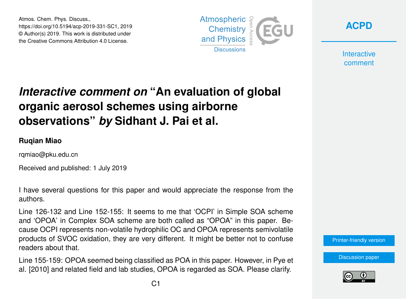Atmos. Chem. Phys. Discuss., https://doi.org/10.5194/acp-2019-331-SC1, 2019 © Author(s) 2019. This work is distributed under the Creative Commons Attribution 4.0 License.





**Interactive** comment

## *Interactive comment on* **"An evaluation of global organic aerosol schemes using airborne observations"** *by* **Sidhant J. Pai et al.**

## **Ruqian Miao**

rqmiao@pku.edu.cn

Received and published: 1 July 2019

I have several questions for this paper and would appreciate the response from the authors.

Line 126-132 and Line 152-155: It seems to me that 'OCPI' in Simple SOA scheme and 'OPOA' in Complex SOA scheme are both called as "OPOA" in this paper. Because OCPI represents non-volatile hydrophilic OC and OPOA represents semivolatile products of SVOC oxidation, they are very different. It might be better not to confuse readers about that.

Line 155-159: OPOA seemed being classified as POA in this paper. However, in Pye et al. [2010] and related field and lab studies, OPOA is regarded as SOA. Please clarify.

[Printer-friendly version](https://www.atmos-chem-phys-discuss.net/acp-2019-331/acp-2019-331-SC1-print.pdf)

[Discussion paper](https://www.atmos-chem-phys-discuss.net/acp-2019-331)